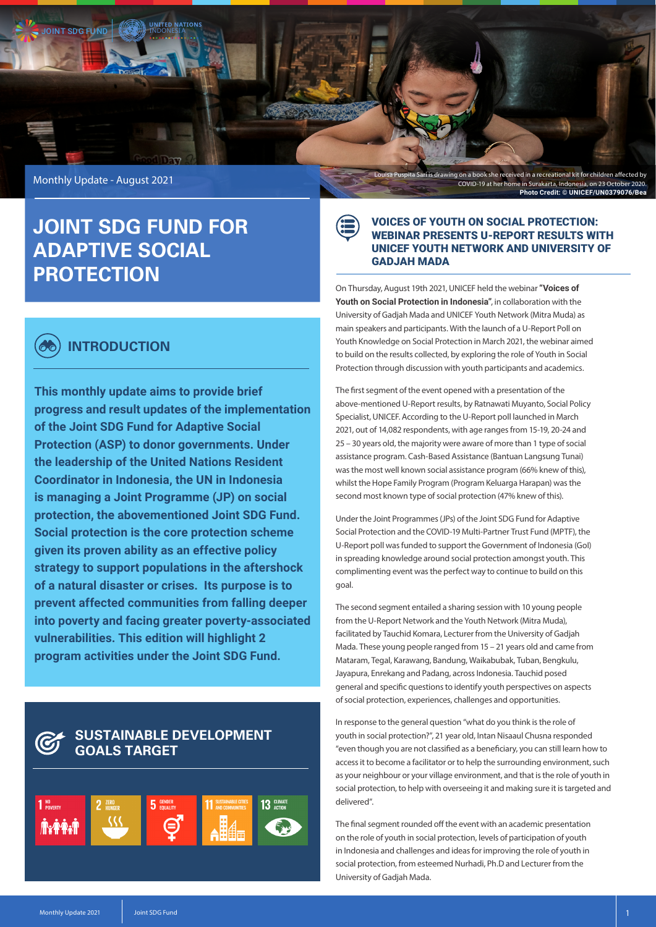

## **JOINT SDG FUND FOR ADAPTIVE SOCIAL PROTECTION**

### **INTRODUCTION**

**This monthly update aims to provide brief progress and result updates of the implementation of the Joint SDG Fund for Adaptive Social Protection (ASP) to donor governments. Under the leadership of the United Nations Resident Coordinator in Indonesia, the UN in Indonesia is managing a Joint Programme (JP) on social protection, the abovementioned Joint SDG Fund. Social protection is the core protection scheme given its proven ability as an effective policy strategy to support populations in the aftershock of a natural disaster or crises. Its purpose is to prevent affected communities from falling deeper into poverty and facing greater poverty-associated vulnerabilities. This edition will highlight 2 program activities under the Joint SDG Fund.**

# **GOALS TARGET**



#### VOICES OF YOUTH ON SOCIAL PROTECTION: WEBINAR PRESENTS U-REPORT RESULTS WITH UNICEF YOUTH NETWORK AND UNIVERSITY OF GADJAH MADA

On Thursday, August 19th 2021, UNICEF held the webinar **"Voices of Youth on Social Protection in Indonesia"**, in collaboration with the University of Gadjah Mada and UNICEF Youth Network (Mitra Muda) as main speakers and participants. With the launch of a U-Report Poll on Youth Knowledge on Social Protection in March 2021, the webinar aimed to build on the results collected, by exploring the role of Youth in Social Protection through discussion with youth participants and academics.

The first segment of the event opened with a presentation of the above-mentioned U-Report results, by Ratnawati Muyanto, Social Policy Specialist, UNICEF. According to the U-Report poll launched in March 2021, out of 14,082 respondents, with age ranges from 15-19, 20-24 and 25 – 30 years old, the majority were aware of more than 1 type of social assistance program. Cash-Based Assistance (Bantuan Langsung Tunai) was the most well known social assistance program (66% knew of this), whilst the Hope Family Program (Program Keluarga Harapan) was the second most known type of social protection (47% knew of this).

Under the Joint Programmes (JPs) of the Joint SDG Fund for Adaptive Social Protection and the COVID-19 Multi-Partner Trust Fund (MPTF), the U-Report poll was funded to support the Government of Indonesia (GoI) in spreading knowledge around social protection amongst youth. This complimenting event was the perfect way to continue to build on this goal.

The second segment entailed a sharing session with 10 young people from the U-Report Network and the Youth Network (Mitra Muda), facilitated by Tauchid Komara, Lecturer from the University of Gadjah Mada. These young people ranged from 15 – 21 years old and came from Mataram, Tegal, Karawang, Bandung, Waikabubak, Tuban, Bengkulu, Jayapura, Enrekang and Padang, across Indonesia. Tauchid posed general and specific questions to identify youth perspectives on aspects of social protection, experiences, challenges and opportunities.

In response to the general question "what do you think is the role of youth in social protection?", 21 year old, Intan Nisaaul Chusna responded "even though you are not classified as a beneficiary, you can still learn how to access it to become a facilitator or to help the surrounding environment, such as your neighbour or your village environment, and that is the role of youth in social protection, to help with overseeing it and making sure it is targeted and delivered".

The final segment rounded off the event with an academic presentation on the role of youth in social protection, levels of participation of youth in Indonesia and challenges and ideas for improving the role of youth in social protection, from esteemed Nurhadi, Ph.D and Lecturer from the University of Gadjah Mada.